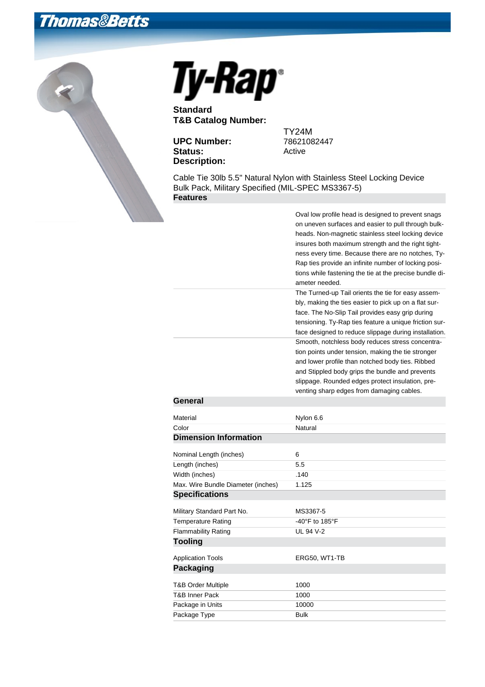## **Thomas&Betts**



## Ty-Rap<sup>®</sup>

**Standard T&B Catalog Number:**

**UPC Number:** Status: Active **Description:**

TY24M<br>78621082447

Cable Tie 30lb 5.5" Natural Nylon with Stainless Steel Locking Device Bulk Pack, Military Specified (MIL-SPEC MS3367-5) **Features**

|                                    | Oval low profile head is designed to prevent snags      |
|------------------------------------|---------------------------------------------------------|
|                                    | on uneven surfaces and easier to pull through bulk-     |
|                                    | heads. Non-magnetic stainless steel locking device      |
|                                    | insures both maximum strength and the right tight-      |
|                                    | ness every time. Because there are no notches, Ty-      |
|                                    | Rap ties provide an infinite number of locking posi-    |
|                                    | tions while fastening the tie at the precise bundle di- |
|                                    | ameter needed.                                          |
|                                    | The Turned-up Tail orients the tie for easy assem-      |
|                                    | bly, making the ties easier to pick up on a flat sur-   |
|                                    | face. The No-Slip Tail provides easy grip during        |
|                                    | tensioning. Ty-Rap ties feature a unique friction sur-  |
|                                    | face designed to reduce slippage during installation.   |
|                                    | Smooth, notchless body reduces stress concentra-        |
|                                    | tion points under tension, making the tie stronger      |
|                                    | and lower profile than notched body ties. Ribbed        |
|                                    | and Stippled body grips the bundle and prevents         |
|                                    | slippage. Rounded edges protect insulation, pre-        |
|                                    | venting sharp edges from damaging cables.               |
| General                            |                                                         |
| Material                           | Nylon 6.6                                               |
| Color                              | Natural                                                 |
| <b>Dimension Information</b>       |                                                         |
| Nominal Length (inches)            | 6                                                       |
| Length (inches)                    | 5.5                                                     |
| Width (inches)                     | .140                                                    |
| Max. Wire Bundle Diameter (inches) | 1.125                                                   |
| <b>Specifications</b>              |                                                         |
| Military Standard Part No.         | MS3367-5                                                |
| <b>Temperature Rating</b>          | -40°F to 185°F                                          |
| <b>Flammability Rating</b>         | <b>UL 94 V-2</b>                                        |
| <b>Tooling</b>                     |                                                         |
| <b>Application Tools</b>           | ERG50, WT1-TB                                           |
| <b>Packaging</b>                   |                                                         |
| T&B Order Multiple                 | 1000                                                    |
| <b>T&amp;B Inner Pack</b>          | 1000                                                    |
| Package in Units                   | 10000                                                   |
| Package Type                       | <b>Bulk</b>                                             |
|                                    |                                                         |